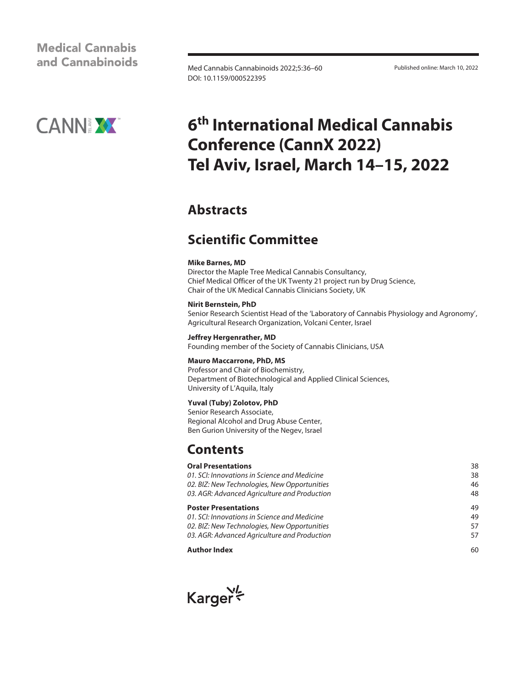### **Medical Cannabis** and Cannabinoids

Med Cannabis Cannabinoids 2022;5:36–60 Published online: March 10, 2022 DOI: 10.1159/000522395



# **6th International Medical Cannabis Conference (CannX 2022) Tel Aviv, Israel, March 14–15, 2022**

## **Abstracts**

# **Scientific Committee**

#### **Mike Barnes, MD**

Director the Maple Tree Medical Cannabis Consultancy, Chief Medical Officer of the UK Twenty 21 project run by Drug Science, Chair of the UK Medical Cannabis Clinicians Society, UK

#### **Nirit Bernstein, PhD**

Senior Research Scientist Head of the 'Laboratory of Cannabis Physiology and Agronomy', Agricultural Research Organization, Volcani Center, Israel

#### **Jeffrey Hergenrather, MD**

Founding member of the Society of Cannabis Clinicians, USA

#### **Mauro Maccarrone, PhD, MS**

Professor and Chair of Biochemistry, Department of Biotechnological and Applied Clinical Sciences, University of L'Aquila, Italy

#### **Yuval (Tuby) Zolotov, PhD**

Senior Research Associate, Regional Alcohol and Drug Abuse Center, Ben Gurion University of the Negev, Israel

### **Contents**

#### **Oral Presentations** 38

| <b>Author Index</b>                          | .ናስ |
|----------------------------------------------|-----|
| 03. AGR: Advanced Agriculture and Production | 57  |
| 02. BIZ: New Technologies, New Opportunities | 57  |
| 01. SCI: Innovations in Science and Medicine | 49  |
| <b>Poster Presentations</b>                  | 49  |
| 03. AGR: Advanced Agriculture and Production | 48  |
| 02. BIZ: New Technologies, New Opportunities | 46  |
| 01. SCI: Innovations in Science and Medicine | 38  |

#### **Author Index**